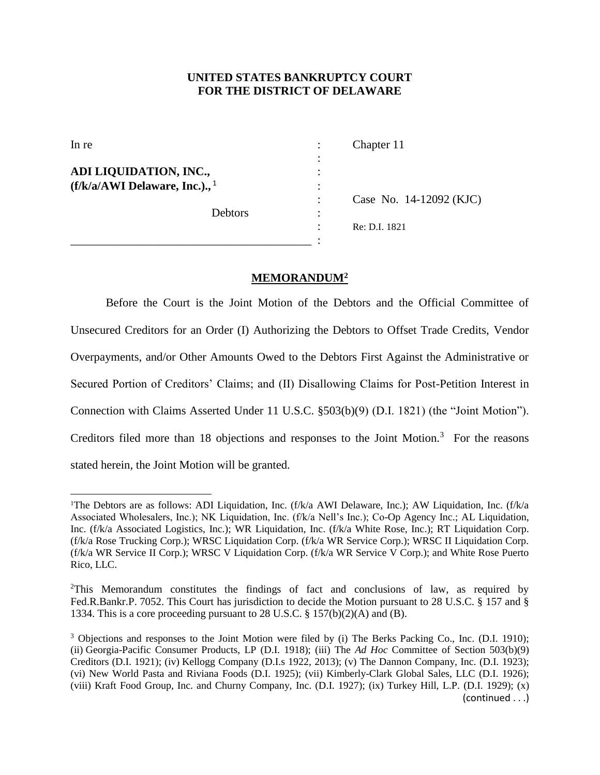## **UNITED STATES BANKRUPTCY COURT FOR THE DISTRICT OF DELAWARE**

| In re                                       |   | Chapter 11              |
|---------------------------------------------|---|-------------------------|
|                                             | ٠ |                         |
| ADI LIQUIDATION, INC.,                      |   |                         |
| $(f/k/a/AWI$ Delaware, Inc.)., <sup>1</sup> |   |                         |
|                                             |   | Case No. 14-12092 (KJC) |
| Debtors                                     | ٠ |                         |
|                                             |   | Re: D.I. 1821           |
|                                             |   |                         |

## **MEMORANDUM<sup>2</sup>**

Before the Court is the Joint Motion of the Debtors and the Official Committee of Unsecured Creditors for an Order (I) Authorizing the Debtors to Offset Trade Credits, Vendor Overpayments, and/or Other Amounts Owed to the Debtors First Against the Administrative or Secured Portion of Creditors' Claims; and (II) Disallowing Claims for Post-Petition Interest in Connection with Claims Asserted Under 11 U.S.C. §503(b)(9) (D.I. 1821) (the "Joint Motion"). Creditors filed more than 18 objections and responses to the Joint Motion. $3$  For the reasons stated herein, the Joint Motion will be granted.

 $\overline{\phantom{a}}$ 

<sup>&</sup>lt;sup>1</sup>The Debtors are as follows: ADI Liquidation, Inc. (f/k/a AWI Delaware, Inc.); AW Liquidation, Inc. (f/k/a Associated Wholesalers, Inc.); NK Liquidation, Inc. (f/k/a Nell's Inc.); Co-Op Agency Inc.; AL Liquidation, Inc. (f/k/a Associated Logistics, Inc.); WR Liquidation, Inc. (f/k/a White Rose, Inc.); RT Liquidation Corp. (f/k/a Rose Trucking Corp.); WRSC Liquidation Corp. (f/k/a WR Service Corp.); WRSC II Liquidation Corp. (f/k/a WR Service II Corp.); WRSC V Liquidation Corp. (f/k/a WR Service V Corp.); and White Rose Puerto Rico, LLC.

<sup>2</sup>This Memorandum constitutes the findings of fact and conclusions of law, as required by Fed.R.Bankr.P. 7052. This Court has jurisdiction to decide the Motion pursuant to 28 U.S.C. § 157 and § 1334. This is a core proceeding pursuant to 28 U.S.C. § 157(b)(2)(A) and (B).

<sup>&</sup>lt;sup>3</sup> Objections and responses to the Joint Motion were filed by (i) The Berks Packing Co., Inc. (D.I. 1910); (ii) Georgia-Pacific Consumer Products, LP (D.I. 1918); (iii) The *Ad Hoc* Committee of Section 503(b)(9) Creditors (D.I. 1921); (iv) Kellogg Company (D.I.s 1922, 2013); (v) The Dannon Company, Inc. (D.I. 1923); (vi) New World Pasta and Riviana Foods (D.I. 1925); (vii) Kimberly-Clark Global Sales, LLC (D.I. 1926); (viii) Kraft Food Group, Inc. and Churny Company, Inc. (D.I. 1927); (ix) Turkey Hill, L.P. (D.I. 1929); (x) (continued . . .)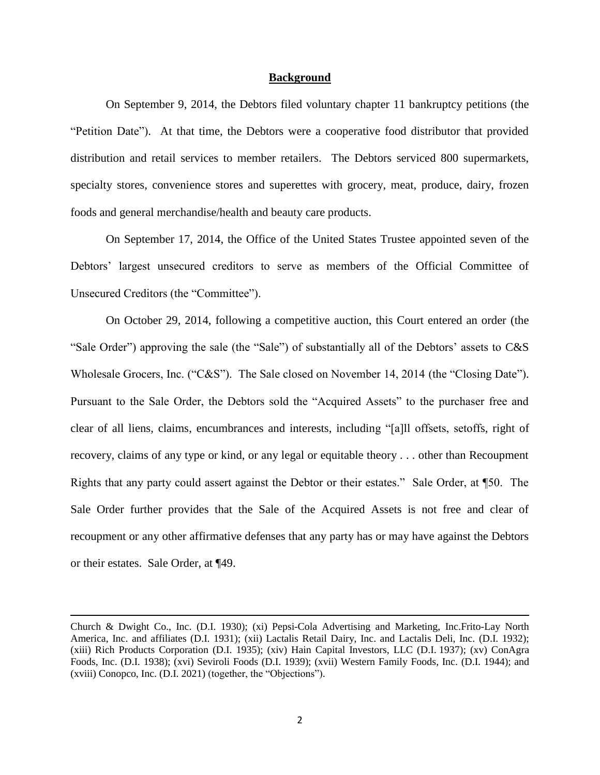#### **Background**

On September 9, 2014, the Debtors filed voluntary chapter 11 bankruptcy petitions (the "Petition Date"). At that time, the Debtors were a cooperative food distributor that provided distribution and retail services to member retailers. The Debtors serviced 800 supermarkets, specialty stores, convenience stores and superettes with grocery, meat, produce, dairy, frozen foods and general merchandise/health and beauty care products.

On September 17, 2014, the Office of the United States Trustee appointed seven of the Debtors' largest unsecured creditors to serve as members of the Official Committee of Unsecured Creditors (the "Committee").

On October 29, 2014, following a competitive auction, this Court entered an order (the "Sale Order") approving the sale (the "Sale") of substantially all of the Debtors' assets to C&S Wholesale Grocers, Inc. ("C&S"). The Sale closed on November 14, 2014 (the "Closing Date"). Pursuant to the Sale Order, the Debtors sold the "Acquired Assets" to the purchaser free and clear of all liens, claims, encumbrances and interests, including "[a]ll offsets, setoffs, right of recovery, claims of any type or kind, or any legal or equitable theory . . . other than Recoupment Rights that any party could assert against the Debtor or their estates." Sale Order, at ¶50. The Sale Order further provides that the Sale of the Acquired Assets is not free and clear of recoupment or any other affirmative defenses that any party has or may have against the Debtors or their estates. Sale Order, at ¶49.

 $\overline{\phantom{a}}$ 

Church & Dwight Co., Inc. (D.I. 1930); (xi) Pepsi-Cola Advertising and Marketing, Inc.Frito-Lay North America, Inc. and affiliates (D.I. 1931); (xii) Lactalis Retail Dairy, Inc. and Lactalis Deli, Inc. (D.I. 1932); (xiii) Rich Products Corporation (D.I. 1935); (xiv) Hain Capital Investors, LLC (D.I. 1937); (xv) ConAgra Foods, Inc. (D.I. 1938); (xvi) Seviroli Foods (D.I. 1939); (xvii) Western Family Foods, Inc. (D.I. 1944); and (xviii) Conopco, Inc. (D.I. 2021) (together, the "Objections").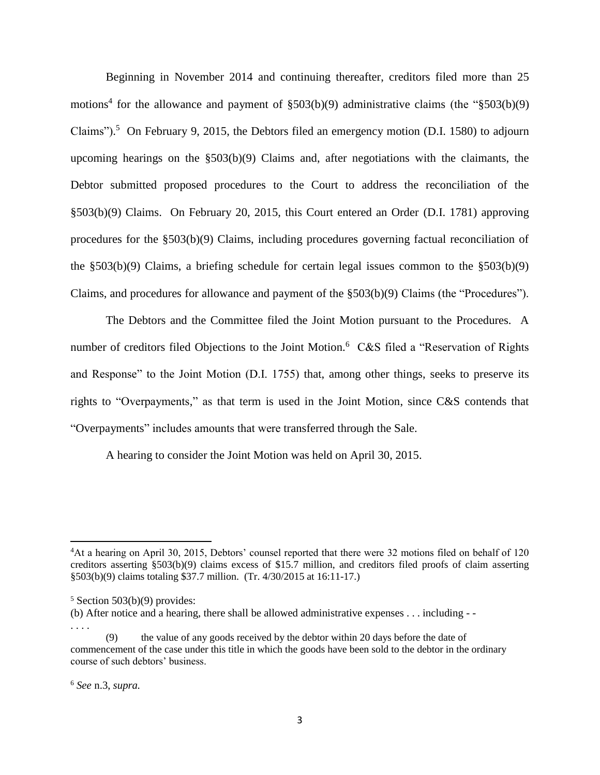Beginning in November 2014 and continuing thereafter, creditors filed more than 25 motions<sup>4</sup> for the allowance and payment of  $$503(b)(9)$  administrative claims (the " $$503(b)(9)$ Claims").<sup>5</sup> On February 9, 2015, the Debtors filed an emergency motion (D.I. 1580) to adjourn upcoming hearings on the  $\S503(b)(9)$  Claims and, after negotiations with the claimants, the Debtor submitted proposed procedures to the Court to address the reconciliation of the §503(b)(9) Claims. On February 20, 2015, this Court entered an Order (D.I. 1781) approving procedures for the §503(b)(9) Claims, including procedures governing factual reconciliation of the  $\S503(b)(9)$  Claims, a briefing schedule for certain legal issues common to the  $\S503(b)(9)$ Claims, and procedures for allowance and payment of the §503(b)(9) Claims (the "Procedures").

The Debtors and the Committee filed the Joint Motion pursuant to the Procedures. A number of creditors filed Objections to the Joint Motion.<sup>6</sup> C&S filed a "Reservation of Rights and Response" to the Joint Motion (D.I. 1755) that, among other things, seeks to preserve its rights to "Overpayments," as that term is used in the Joint Motion, since C&S contends that "Overpayments" includes amounts that were transferred through the Sale.

A hearing to consider the Joint Motion was held on April 30, 2015.

 $\overline{\phantom{a}}$ 

<sup>4</sup>At a hearing on April 30, 2015, Debtors' counsel reported that there were 32 motions filed on behalf of 120 creditors asserting §503(b)(9) claims excess of \$15.7 million, and creditors filed proofs of claim asserting §503(b)(9) claims totaling \$37.7 million. (Tr. 4/30/2015 at 16:11-17.)

 $5$  Section 503(b)(9) provides:

<sup>(</sup>b) After notice and a hearing, there shall be allowed administrative expenses . . . including - - . . . .

the value of any goods received by the debtor within 20 days before the date of commencement of the case under this title in which the goods have been sold to the debtor in the ordinary course of such debtors' business.

<sup>6</sup> *See* n.3, *supra.*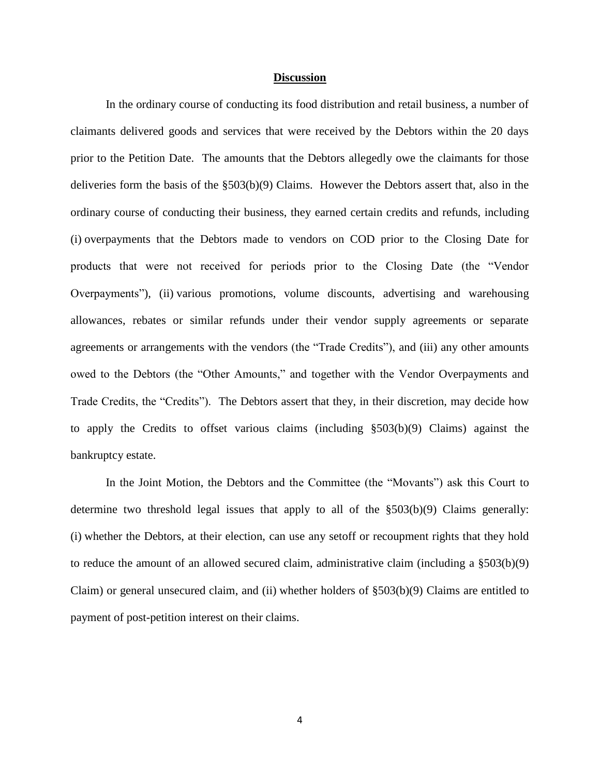#### **Discussion**

In the ordinary course of conducting its food distribution and retail business, a number of claimants delivered goods and services that were received by the Debtors within the 20 days prior to the Petition Date. The amounts that the Debtors allegedly owe the claimants for those deliveries form the basis of the §503(b)(9) Claims. However the Debtors assert that, also in the ordinary course of conducting their business, they earned certain credits and refunds, including (i) overpayments that the Debtors made to vendors on COD prior to the Closing Date for products that were not received for periods prior to the Closing Date (the "Vendor Overpayments"), (ii) various promotions, volume discounts, advertising and warehousing allowances, rebates or similar refunds under their vendor supply agreements or separate agreements or arrangements with the vendors (the "Trade Credits"), and (iii) any other amounts owed to the Debtors (the "Other Amounts," and together with the Vendor Overpayments and Trade Credits, the "Credits"). The Debtors assert that they, in their discretion, may decide how to apply the Credits to offset various claims (including §503(b)(9) Claims) against the bankruptcy estate.

In the Joint Motion, the Debtors and the Committee (the "Movants") ask this Court to determine two threshold legal issues that apply to all of the §503(b)(9) Claims generally: (i) whether the Debtors, at their election, can use any setoff or recoupment rights that they hold to reduce the amount of an allowed secured claim, administrative claim (including a §503(b)(9) Claim) or general unsecured claim, and (ii) whether holders of §503(b)(9) Claims are entitled to payment of post-petition interest on their claims.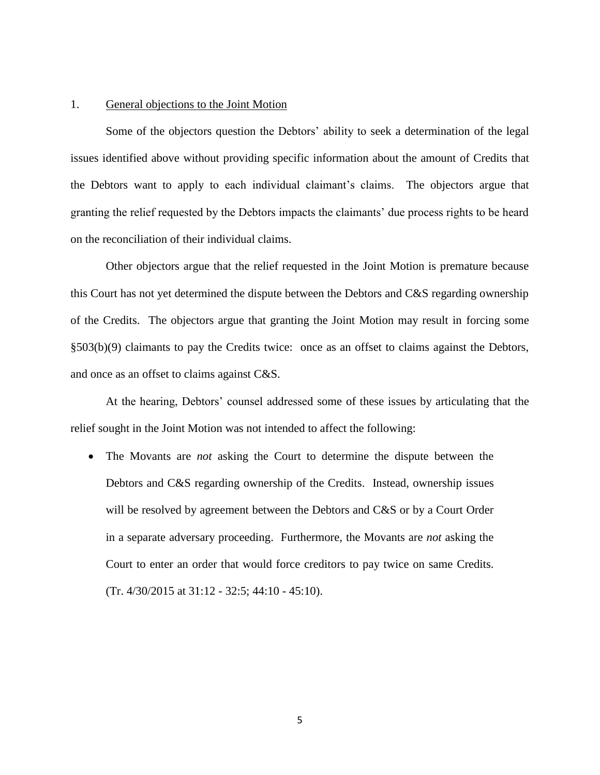#### 1. General objections to the Joint Motion

Some of the objectors question the Debtors' ability to seek a determination of the legal issues identified above without providing specific information about the amount of Credits that the Debtors want to apply to each individual claimant's claims. The objectors argue that granting the relief requested by the Debtors impacts the claimants' due process rights to be heard on the reconciliation of their individual claims.

Other objectors argue that the relief requested in the Joint Motion is premature because this Court has not yet determined the dispute between the Debtors and C&S regarding ownership of the Credits. The objectors argue that granting the Joint Motion may result in forcing some §503(b)(9) claimants to pay the Credits twice: once as an offset to claims against the Debtors, and once as an offset to claims against C&S.

At the hearing, Debtors' counsel addressed some of these issues by articulating that the relief sought in the Joint Motion was not intended to affect the following:

 The Movants are *not* asking the Court to determine the dispute between the Debtors and C&S regarding ownership of the Credits. Instead, ownership issues will be resolved by agreement between the Debtors and C&S or by a Court Order in a separate adversary proceeding. Furthermore, the Movants are *not* asking the Court to enter an order that would force creditors to pay twice on same Credits. (Tr. 4/30/2015 at 31:12 - 32:5; 44:10 - 45:10).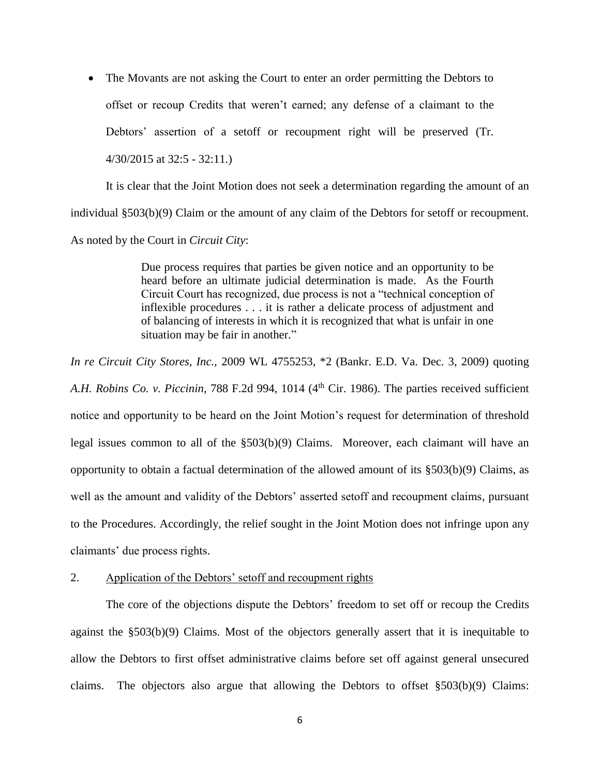• The Movants are not asking the Court to enter an order permitting the Debtors to offset or recoup Credits that weren't earned; any defense of a claimant to the Debtors' assertion of a setoff or recoupment right will be preserved (Tr. 4/30/2015 at 32:5 - 32:11.)

It is clear that the Joint Motion does not seek a determination regarding the amount of an individual §503(b)(9) Claim or the amount of any claim of the Debtors for setoff or recoupment. As noted by the Court in *Circuit City*:

> Due process requires that parties be given notice and an opportunity to be heard before an ultimate judicial determination is made. As the Fourth Circuit Court has recognized, due process is not a "technical conception of inflexible procedures . . . it is rather a delicate process of adjustment and of balancing of interests in which it is recognized that what is unfair in one situation may be fair in another."

*In re Circuit City Stores, Inc.,* 2009 WL 4755253, \*2 (Bankr. E.D. Va. Dec. 3, 2009) quoting A.H. Robins Co. *v. Piccinin*, 788 F.2d 994, 1014 (4<sup>th</sup> Cir. 1986). The parties received sufficient notice and opportunity to be heard on the Joint Motion's request for determination of threshold legal issues common to all of the §503(b)(9) Claims. Moreover, each claimant will have an opportunity to obtain a factual determination of the allowed amount of its §503(b)(9) Claims, as well as the amount and validity of the Debtors' asserted setoff and recoupment claims, pursuant to the Procedures. Accordingly, the relief sought in the Joint Motion does not infringe upon any claimants' due process rights.

## 2. Application of the Debtors' setoff and recoupment rights

The core of the objections dispute the Debtors' freedom to set off or recoup the Credits against the §503(b)(9) Claims. Most of the objectors generally assert that it is inequitable to allow the Debtors to first offset administrative claims before set off against general unsecured claims. The objectors also argue that allowing the Debtors to offset §503(b)(9) Claims: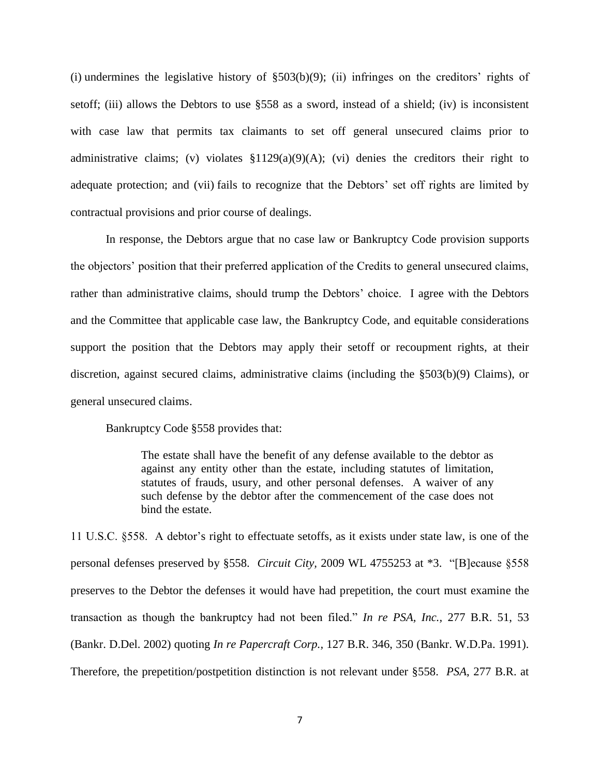(i) undermines the legislative history of  $\S503(b)(9)$ ; (ii) infringes on the creditors' rights of setoff; (iii) allows the Debtors to use §558 as a sword, instead of a shield; (iv) is inconsistent with case law that permits tax claimants to set off general unsecured claims prior to administrative claims; (v) violates  $$1129(a)(9)(A)$ ; (vi) denies the creditors their right to adequate protection; and (vii) fails to recognize that the Debtors' set off rights are limited by contractual provisions and prior course of dealings.

In response, the Debtors argue that no case law or Bankruptcy Code provision supports the objectors' position that their preferred application of the Credits to general unsecured claims, rather than administrative claims, should trump the Debtors' choice. I agree with the Debtors and the Committee that applicable case law, the Bankruptcy Code, and equitable considerations support the position that the Debtors may apply their setoff or recoupment rights, at their discretion, against secured claims, administrative claims (including the §503(b)(9) Claims), or general unsecured claims.

Bankruptcy Code §558 provides that:

The estate shall have the benefit of any defense available to the debtor as against any entity other than the estate, including statutes of limitation, statutes of frauds, usury, and other personal defenses. A waiver of any such defense by the debtor after the commencement of the case does not bind the estate.

11 U.S.C. §558. A debtor's right to effectuate setoffs, as it exists under state law, is one of the personal defenses preserved by §558. *Circuit City,* 2009 WL 4755253 at \*3. "[B]ecause §558 preserves to the Debtor the defenses it would have had prepetition, the court must examine the transaction as though the bankruptcy had not been filed." *In re PSA, Inc.,* 277 B.R. 51, 53 (Bankr. D.Del. 2002) quoting *In re Papercraft Corp.,* 127 B.R. 346, 350 (Bankr. W.D.Pa. 1991). Therefore, the prepetition/postpetition distinction is not relevant under §558. *PSA*, 277 B.R. at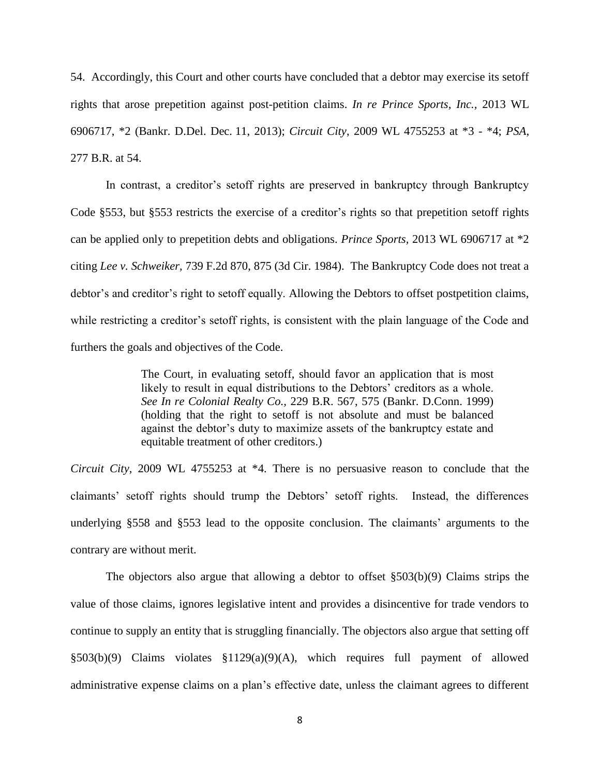54. Accordingly, this Court and other courts have concluded that a debtor may exercise its setoff rights that arose prepetition against post-petition claims. *In re Prince Sports, Inc.,* 2013 WL 6906717, \*2 (Bankr. D.Del. Dec. 11, 2013); *Circuit City*, 2009 WL 4755253 at \*3 - \*4; *PSA,*  277 B.R. at 54.

In contrast, a creditor's setoff rights are preserved in bankruptcy through Bankruptcy Code §553, but §553 restricts the exercise of a creditor's rights so that prepetition setoff rights can be applied only to prepetition debts and obligations. *Prince Sports,* 2013 WL 6906717 at \*2 citing *Lee v. Schweiker,* 739 F.2d 870, 875 (3d Cir. 1984). The Bankruptcy Code does not treat a debtor's and creditor's right to setoff equally. Allowing the Debtors to offset postpetition claims, while restricting a creditor's setoff rights, is consistent with the plain language of the Code and furthers the goals and objectives of the Code.

> The Court, in evaluating setoff, should favor an application that is most likely to result in equal distributions to the Debtors' creditors as a whole. *See In re Colonial Realty Co.,* 229 B.R. 567, 575 (Bankr. D.Conn. 1999) (holding that the right to setoff is not absolute and must be balanced against the debtor's duty to maximize assets of the bankruptcy estate and equitable treatment of other creditors.)

*Circuit City,* 2009 WL 4755253 at \*4. There is no persuasive reason to conclude that the claimants' setoff rights should trump the Debtors' setoff rights. Instead, the differences underlying §558 and §553 lead to the opposite conclusion. The claimants' arguments to the contrary are without merit.

The objectors also argue that allowing a debtor to offset §503(b)(9) Claims strips the value of those claims, ignores legislative intent and provides a disincentive for trade vendors to continue to supply an entity that is struggling financially. The objectors also argue that setting off §503(b)(9) Claims violates §1129(a)(9)(A), which requires full payment of allowed administrative expense claims on a plan's effective date, unless the claimant agrees to different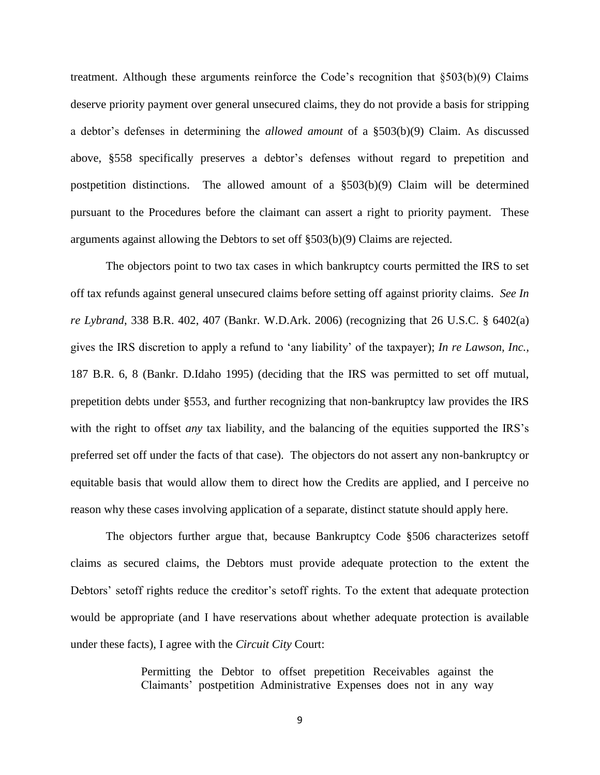treatment. Although these arguments reinforce the Code's recognition that §503(b)(9) Claims deserve priority payment over general unsecured claims, they do not provide a basis for stripping a debtor's defenses in determining the *allowed amount* of a §503(b)(9) Claim. As discussed above, §558 specifically preserves a debtor's defenses without regard to prepetition and postpetition distinctions. The allowed amount of a  $\S503(b)(9)$  Claim will be determined pursuant to the Procedures before the claimant can assert a right to priority payment. These arguments against allowing the Debtors to set off §503(b)(9) Claims are rejected.

The objectors point to two tax cases in which bankruptcy courts permitted the IRS to set off tax refunds against general unsecured claims before setting off against priority claims. *See In re Lybrand*, 338 B.R. 402, 407 (Bankr. W.D.Ark. 2006) (recognizing that 26 U.S.C. § 6402(a) gives the IRS discretion to apply a refund to 'any liability' of the taxpayer); *In re Lawson, Inc.,* 187 B.R. 6, 8 (Bankr. D.Idaho 1995) (deciding that the IRS was permitted to set off mutual, prepetition debts under §553, and further recognizing that non-bankruptcy law provides the IRS with the right to offset *any* tax liability, and the balancing of the equities supported the IRS's preferred set off under the facts of that case). The objectors do not assert any non-bankruptcy or equitable basis that would allow them to direct how the Credits are applied, and I perceive no reason why these cases involving application of a separate, distinct statute should apply here.

The objectors further argue that, because Bankruptcy Code §506 characterizes setoff claims as secured claims, the Debtors must provide adequate protection to the extent the Debtors' setoff rights reduce the creditor's setoff rights. To the extent that adequate protection would be appropriate (and I have reservations about whether adequate protection is available under these facts), I agree with the *Circuit City* Court:

> Permitting the Debtor to offset prepetition Receivables against the Claimants' postpetition Administrative Expenses does not in any way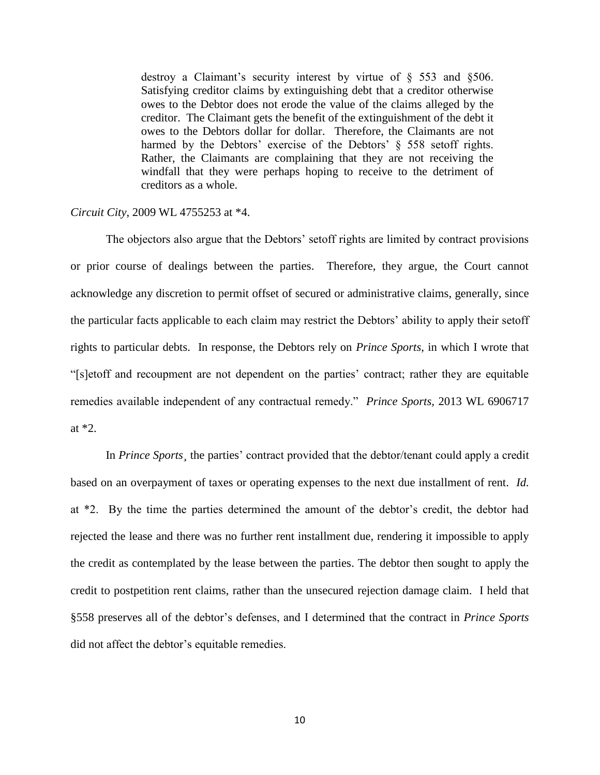destroy a Claimant's security interest by virtue of § 553 and §506. Satisfying creditor claims by extinguishing debt that a creditor otherwise owes to the Debtor does not erode the value of the claims alleged by the creditor. The Claimant gets the benefit of the extinguishment of the debt it owes to the Debtors dollar for dollar. Therefore, the Claimants are not harmed by the Debtors' exercise of the Debtors' § 558 setoff rights. Rather, the Claimants are complaining that they are not receiving the windfall that they were perhaps hoping to receive to the detriment of creditors as a whole.

### *Circuit City*, 2009 WL 4755253 at \*4.

The objectors also argue that the Debtors' setoff rights are limited by contract provisions or prior course of dealings between the parties. Therefore, they argue, the Court cannot acknowledge any discretion to permit offset of secured or administrative claims, generally, since the particular facts applicable to each claim may restrict the Debtors' ability to apply their setoff rights to particular debts. In response, the Debtors rely on *Prince Sports*, in which I wrote that "[s]etoff and recoupment are not dependent on the parties' contract; rather they are equitable remedies available independent of any contractual remedy." *Prince Sports,* 2013 WL 6906717 at \*2.

In *Prince Sports¸* the parties' contract provided that the debtor/tenant could apply a credit based on an overpayment of taxes or operating expenses to the next due installment of rent. *Id.* at \*2. By the time the parties determined the amount of the debtor's credit, the debtor had rejected the lease and there was no further rent installment due, rendering it impossible to apply the credit as contemplated by the lease between the parties. The debtor then sought to apply the credit to postpetition rent claims, rather than the unsecured rejection damage claim. I held that §558 preserves all of the debtor's defenses, and I determined that the contract in *Prince Sports*  did not affect the debtor's equitable remedies.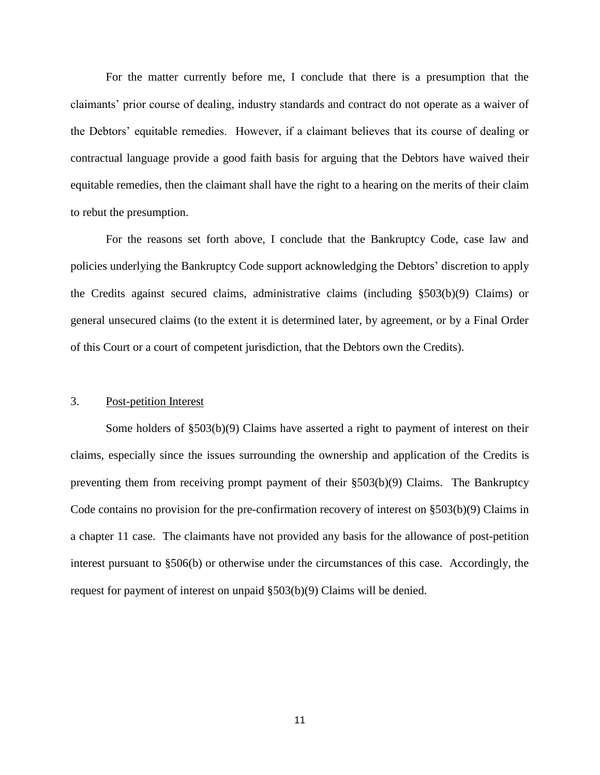For the matter currently before me, I conclude that there is a presumption that the claimants' prior course of dealing, industry standards and contract do not operate as a waiver of the Debtors' equitable remedies. However, if a claimant believes that its course of dealing or contractual language provide a good faith basis for arguing that the Debtors have waived their equitable remedies, then the claimant shall have the right to a hearing on the merits of their claim to rebut the presumption.

For the reasons set forth above, I conclude that the Bankruptcy Code, case law and policies underlying the Bankruptcy Code support acknowledging the Debtors' discretion to apply the Credits against secured claims, administrative claims (including §503(b)(9) Claims) or general unsecured claims (to the extent it is determined later, by agreement, or by a Final Order of this Court or a court of competent jurisdiction, that the Debtors own the Credits).

### 3. Post-petition Interest

Some holders of §503(b)(9) Claims have asserted a right to payment of interest on their claims, especially since the issues surrounding the ownership and application of the Credits is preventing them from receiving prompt payment of their §503(b)(9) Claims. The Bankruptcy Code contains no provision for the pre-confirmation recovery of interest on §503(b)(9) Claims in a chapter 11 case. The claimants have not provided any basis for the allowance of post-petition interest pursuant to §506(b) or otherwise under the circumstances of this case. Accordingly, the request for payment of interest on unpaid §503(b)(9) Claims will be denied.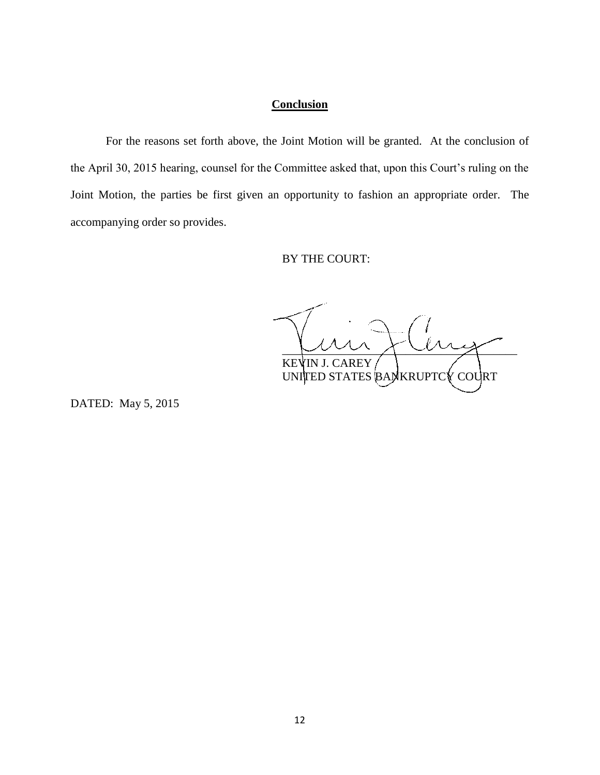# **Conclusion**

For the reasons set forth above, the Joint Motion will be granted. At the conclusion of the April 30, 2015 hearing, counsel for the Committee asked that, upon this Court's ruling on the Joint Motion, the parties be first given an opportunity to fashion an appropriate order. The accompanying order so provides.

BY THE COURT:

 $\sim$   $\sim$   $\sim$   $\sim$   $\sim$   $\sim$   $\sim$ KEVIN J. CAREY UNITED STATES BANKRUPTCY COURT

DATED: May 5, 2015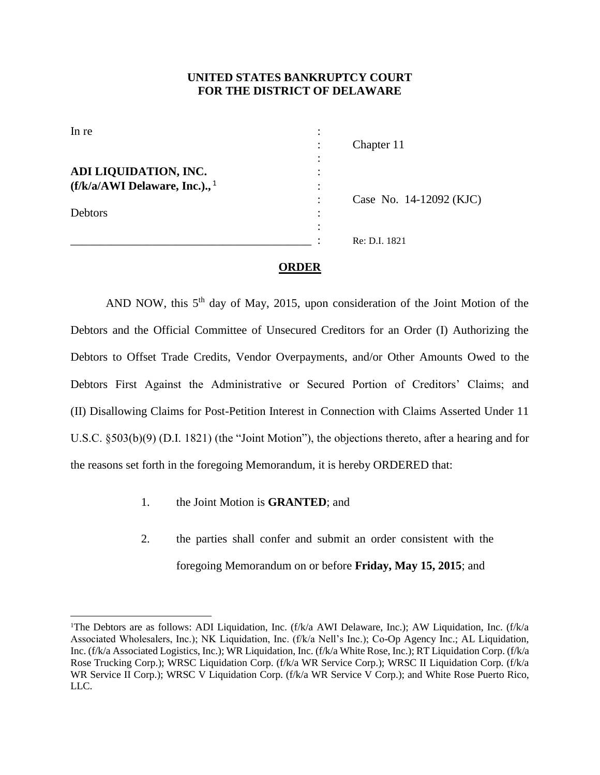## **UNITED STATES BANKRUPTCY COURT FOR THE DISTRICT OF DELAWARE**

| In re                                       |   |                         |
|---------------------------------------------|---|-------------------------|
|                                             |   | Chapter 11              |
|                                             |   |                         |
| ADI LIQUIDATION, INC.                       |   |                         |
| $(f/k/a/AWI$ Delaware, Inc.)., <sup>1</sup> |   |                         |
|                                             |   | Case No. 14-12092 (KJC) |
| Debtors                                     | ٠ |                         |
|                                             |   |                         |
|                                             |   | Re: D.I. 1821           |
|                                             |   |                         |

#### **ORDER**

AND NOW, this  $5<sup>th</sup>$  day of May, 2015, upon consideration of the Joint Motion of the Debtors and the Official Committee of Unsecured Creditors for an Order (I) Authorizing the Debtors to Offset Trade Credits, Vendor Overpayments, and/or Other Amounts Owed to the Debtors First Against the Administrative or Secured Portion of Creditors' Claims; and (II) Disallowing Claims for Post-Petition Interest in Connection with Claims Asserted Under 11 U.S.C. §503(b)(9) (D.I. 1821) (the "Joint Motion"), the objections thereto, after a hearing and for the reasons set forth in the foregoing Memorandum, it is hereby ORDERED that:

1. the Joint Motion is **GRANTED**; and

l

2. the parties shall confer and submit an order consistent with the foregoing Memorandum on or before **Friday, May 15, 2015**; and

<sup>&</sup>lt;sup>1</sup>The Debtors are as follows: ADI Liquidation, Inc. (f/k/a AWI Delaware, Inc.); AW Liquidation, Inc. (f/k/a Associated Wholesalers, Inc.); NK Liquidation, Inc. (f/k/a Nell's Inc.); Co-Op Agency Inc.; AL Liquidation, Inc. (f/k/a Associated Logistics, Inc.); WR Liquidation, Inc. (f/k/a White Rose, Inc.); RT Liquidation Corp. (f/k/a Rose Trucking Corp.); WRSC Liquidation Corp. (f/k/a WR Service Corp.); WRSC II Liquidation Corp. (f/k/a WR Service II Corp.); WRSC V Liquidation Corp. (f/k/a WR Service V Corp.); and White Rose Puerto Rico, LLC.